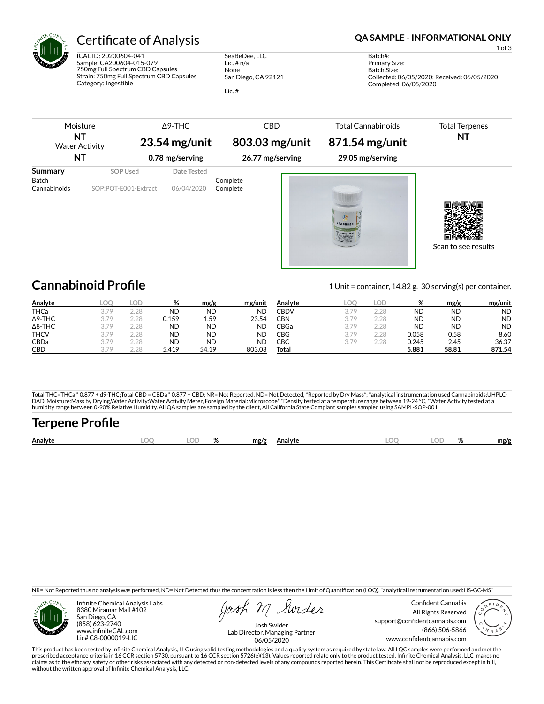

ICAL ID: 20200604-041 Sample: CA200604-015-079 750mg Full Spectrum CBD Capsules Strain: 750mg Full Spectrum CBD Capsules Category: Ingestible

SeaBeDee, LLC Lic. # n/a None San Diego, CA 92121 Lic. #

Certificate of Analysis **Certificate of Analysis QA SAMPLE - INFORMATIONAL ONLY** 

1 of 3

Batch#: Primary Size: Batch Size: Collected: 06/05/2020; Received: 06/05/2020 Completed: 06/05/2020

|                         | Moisture<br>NT<br><b>Water Activity</b><br><b>NT</b> | $\triangle$ 9-THC<br>$23.54$ mg/unit<br>0.78 mg/serving | <b>CBD</b><br>803.03 mg/unit<br>26.77 mg/serving | <b>Total Cannabinoids</b><br>871.54 mg/unit<br>29.05 mg/serving | <b>Total Terpenes</b><br>NT |
|-------------------------|------------------------------------------------------|---------------------------------------------------------|--------------------------------------------------|-----------------------------------------------------------------|-----------------------------|
| <b>Summary</b><br>Batch | <b>SOP Used</b>                                      | Date Tested                                             | Complete                                         |                                                                 |                             |
| Cannabinoids            | SOP:POT-E001-Extract                                 | 06/04/2020                                              | Complete                                         | SEABEDEF<br><b>ULL SPECTRUM</b>                                 | Scan to see results         |

## **Cannabinoid Profile** 1 Unit = container, 14.82 g. 30 serving(s) per container.

**Analyte LOQ LOD % mg/g mg/unit Analyte LOQ LOD % mg/g mg/unit** CBDV 3.79 2.28 ND ND ND CBN 3.79 2.28 ND ND ND

| , , , , , , , , | ---  | ---  | $\overline{\phantom{a}}$ | ס שיי     |           | , ,,,,,,,   | ---  | ---  | $\overline{\phantom{a}}$ | ס שיי     |           |
|-----------------|------|------|--------------------------|-----------|-----------|-------------|------|------|--------------------------|-----------|-----------|
| <b>THCa</b>     | 270  | 2.28 | <b>ND</b>                | <b>ND</b> | <b>ND</b> | <b>CBDV</b> | 270  | 2.28 | ND                       | <b>ND</b> | <b>ND</b> |
| $\Delta$ 9-THC  | 370  | 2.28 | 0.159                    | 1.59      | 23.54     | CBN         | 3.79 | 2.28 | <b>ND</b>                | <b>ND</b> | <b>ND</b> |
| $\Delta$ 8-THC  | 270  | 2.28 | <b>ND</b>                | <b>ND</b> | <b>ND</b> | CBGa        | 3.79 | 2.28 | <b>ND</b>                | <b>ND</b> | <b>ND</b> |
| <b>THCV</b>     | 379  | 2.28 | <b>ND</b>                | <b>ND</b> | ND        | CBG         | 3.79 | 2.28 | 0.058                    | 0.58      | 8.60      |
| CBDa            | 3.79 | 2.28 | <b>ND</b>                | <b>ND</b> | <b>ND</b> | CBC         | 3.79 | 2.28 | 0.245                    | 2.45      | 36.37     |
| <b>CBD</b>      | 270  | 2.28 | 5.419                    | 54.19     | 803.03    | Total       |      |      | 5.881                    | 58.81     | 871.54    |
|                 |      |      |                          |           |           |             |      |      |                          |           |           |

Total THC=THCa \* 0.877 + d9-THC;Total CBD = CBDa \* 0.877 + CBD; NR= Not Reported, ND= Not Detected, \*Reported by Dry Mass\*; \*analytical instrumentation used Cannabinoids:UHPLC-DAD, Moisture:Mass by Drying,Water Activity:Water Activity Meter, Foreign Material:Microscope\* \*Density tested at a temperature range between 19-24 °C, \*Water Activity tested at a<br>humidity range between 0-90% Relative Humi

# **Terpene Profile**

| Analyte | $\sim$ | 07 | mg/g | Analyte | $\sim$ | $\sim$ | mg/g |
|---------|--------|----|------|---------|--------|--------|------|
|         |        |    |      |         |        |        |      |

NR= Not Reported thus no analysis was performed, ND= Not Detected thus the concentration is less then the Limit of Quantification (LOQ), \*analytical instrumentation used:HS-GC-MS\*



Infinite Chemical Analysis Labs 8380 Miramar Mall #102 San Diego, CA (858) 623-2740 www.infiniteCAL.com Lic# C8-0000019-LIC

Swider

Confident Cannabis All Rights Reserved support@confidentcannabis.com (866) 506-5866 www.confidentcannabis.com



Josh Swider Lab Director, Managing Partner 06/05/2020

This product has been tested by Infinite Chemical Analysis, LLC using valid testing methodologies and a quality system as required by state law. All LQC samples were performed and met the<br>prescribed acceptance criteria in without the written approval of Infinite Chemical Analysis, LLC.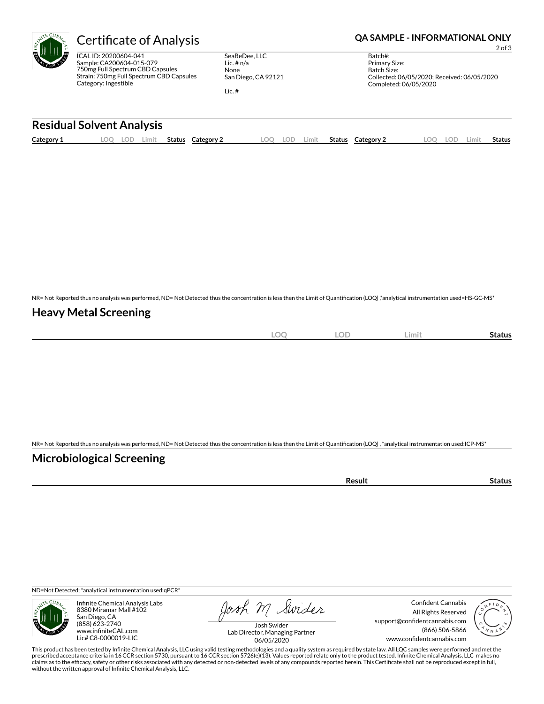ICAL ID: 20200604-041 Sample: CA200604-015-079 750mg Full Spectrum CBD Capsules Strain: 750mg Full Spectrum CBD Capsules Category: Ingestible

SeaBeDee, LLC Lic. # n/a None San Diego, CA 92121

Lic. #

### Certificate of Analysis **Certificate of Analysis QA SAMPLE - INFORMATIONAL ONLY**

2 of 3

Batch#: Primary Size: Batch Size: Collected: 06/05/2020; Received: 06/05/2020 Completed: 06/05/2020

### **Residual Solvent Analysis**

| Category 1 | . OC | .ul | Limit | <b>Status</b> | Category | LOO | -77 | Limit. | <b>Status</b> | Category 2 | LOD. | Limi† | <b>Status</b> |
|------------|------|-----|-------|---------------|----------|-----|-----|--------|---------------|------------|------|-------|---------------|
|            |      |     |       |               |          |     |     |        |               |            |      |       |               |

NR= Not Reported thus no analysis was performed, ND= Not Detected thus the concentration is less then the Limit of Quantification (LOQ),\*analytical instrumentation used=HS-GC-MS\*

### **Heavy Metal Screening**

| $\sim$<br>$\sim$<br>) (<br>$-\sim$<br>$-$ | OD<br>◡◡ | Limit | Status |
|-------------------------------------------|----------|-------|--------|
|                                           |          |       |        |

NR= Not Reported thus no analysis was performed, ND= Not Detected thus the concentration is less then the Limit of Quantification (LOQ), \*analytical instrumentation used:ICP-MS\*

### **Microbiological Screening**

ND=Not Detected; \*analytical instrumentation used:qPCR\*



Infinite Chemical Analysis Labs 8380 Miramar Mall #102 San Diego, CA (858) 623-2740 www.infiniteCAL.com Lic# C8-0000019-LIC

Josh M Swider

Confident Cannabis All Rights Reserved support@confidentcannabis.com (866) 506-5866 www.confidentcannabis.com



Josh Swider Lab Director, Managing Partner 06/05/2020

This product has been tested by Infinite Chemical Analysis, LLC using valid testing methodologies and a quality system as required by state law. All LQC samples were performed and met the prescribed acceptance criteria in 16 CCR section 5730, pursuant to 16 CCR section 5726(e)(13). Values reported relate only to the product tested. Infinite Chemical Analysis, LLC makes no<br>claims as to the efficacy, safety o without the written approval of Infinite Chemical Analysis, LLC.